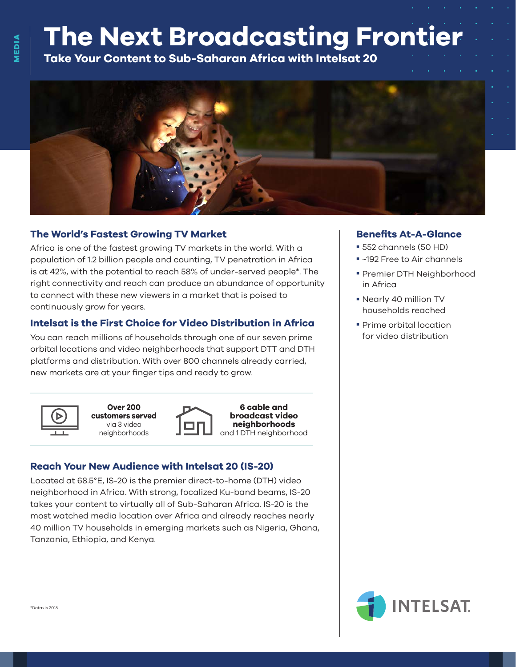# **The Next Broadcasting Frontier**

**Take Your Content to Sub-Saharan Africa with Intelsat 20**



#### **The World's Fastest Growing TV Market**

Africa is one of the fastest growing TV markets in the world. With a population of 1.2 billion people and counting, TV penetration in Africa is at 42%, with the potential to reach 58% of under-served people\*. The right connectivity and reach can produce an abundance of opportunity to connect with these new viewers in a market that is poised to continuously grow for years.

#### **Intelsat is the First Choice for Video Distribution in Africa**

You can reach millions of households through one of our seven prime orbital locations and video neighborhoods that support DTT and DTH platforms and distribution. With over 800 channels already carried, new markets are at your finger tips and ready to grow.





**6 cable and broadcast video neighborhoods** and 1 DTH neighborhood

#### **Reach Your New Audience with Intelsat 20 (IS-20)**

Located at 68.5°E, IS-20 is the premier direct-to-home (DTH) video neighborhood in Africa. With strong, focalized Ku-band beams, IS-20 takes your content to virtually all of Sub-Saharan Africa. IS-20 is the most watched media location over Africa and already reaches nearly 40 million TV households in emerging markets such as Nigeria, Ghana, Tanzania, Ethiopia, and Kenya.

#### **Benefits At-A-Glance**

- 552 channels (50 HD)
- ~192 Free to Air channels
- Premier DTH Neighborhood in Africa
- Nearly 40 million TV households reached
- **Prime orbital location** for video distribution